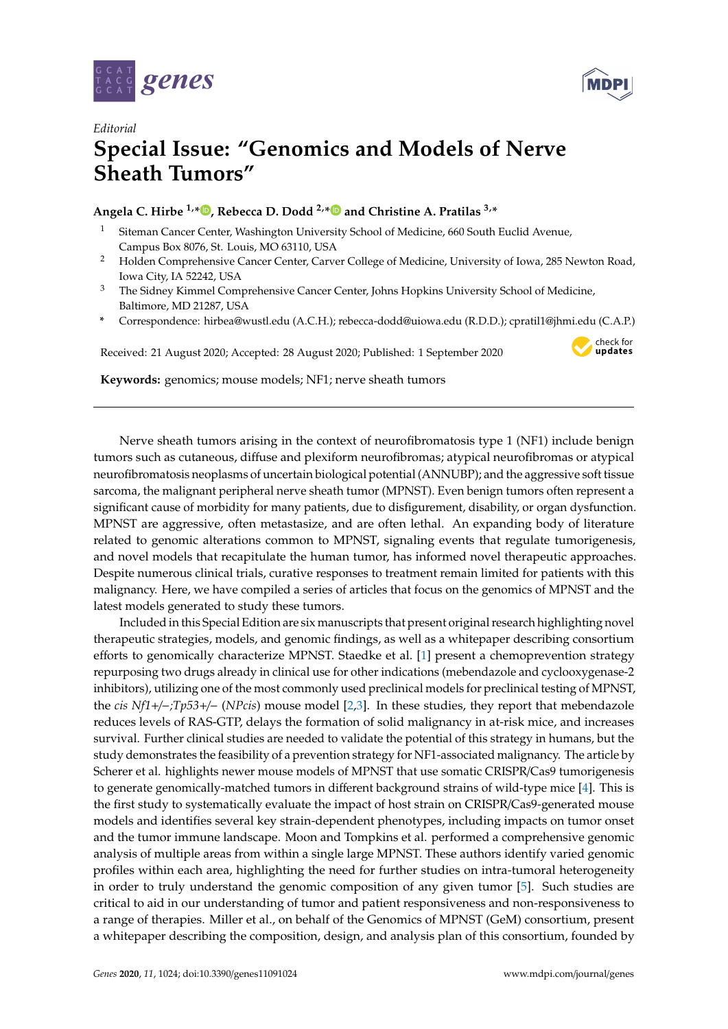



## *Editorial* **Special Issue: "Genomics and Models of Nerve Sheath Tumors"**

## **Angela C. Hirbe 1,\* [,](https://orcid.org/0000-0003-1719-0771) Rebecca D. Dodd 2,[\\*](https://orcid.org/0000-0001-7295-1882) and Christine A. Pratilas 3,\***

- Siteman Cancer Center, Washington University School of Medicine, 660 South Euclid Avenue, Campus Box 8076, St. Louis, MO 63110, USA
- <sup>2</sup> Holden Comprehensive Cancer Center, Carver College of Medicine, University of Iowa, 285 Newton Road, Iowa City, IA 52242, USA
- <sup>3</sup> The Sidney Kimmel Comprehensive Cancer Center, Johns Hopkins University School of Medicine, Baltimore, MD 21287, USA
- **\*** Correspondence: hirbea@wustl.edu (A.C.H.); rebecca-dodd@uiowa.edu (R.D.D.); cpratil1@jhmi.edu (C.A.P.)

Received: 21 August 2020; Accepted: 28 August 2020; Published: 1 September 2020



**Keywords:** genomics; mouse models; NF1; nerve sheath tumors

Nerve sheath tumors arising in the context of neurofibromatosis type 1 (NF1) include benign tumors such as cutaneous, diffuse and plexiform neurofibromas; atypical neurofibromas or atypical neurofibromatosis neoplasms of uncertain biological potential (ANNUBP); and the aggressive soft tissue sarcoma, the malignant peripheral nerve sheath tumor (MPNST). Even benign tumors often represent a significant cause of morbidity for many patients, due to disfigurement, disability, or organ dysfunction. MPNST are aggressive, often metastasize, and are often lethal. An expanding body of literature related to genomic alterations common to MPNST, signaling events that regulate tumorigenesis, and novel models that recapitulate the human tumor, has informed novel therapeutic approaches. Despite numerous clinical trials, curative responses to treatment remain limited for patients with this malignancy. Here, we have compiled a series of articles that focus on the genomics of MPNST and the latest models generated to study these tumors.

Included in this Special Edition are six manuscripts that present original research highlighting novel therapeutic strategies, models, and genomic findings, as well as a whitepaper describing consortium efforts to genomically characterize MPNST. Staedke et al. [\[1\]](#page-2-0) present a chemoprevention strategy repurposing two drugs already in clinical use for other indications (mebendazole and cyclooxygenase-2 inhibitors), utilizing one of the most commonly used preclinical models for preclinical testing of MPNST, the *cis Nf1*+/−*;Tp53*+/− (*NPcis*) mouse model [\[2,](#page-2-1)[3\]](#page-2-2). In these studies, they report that mebendazole reduces levels of RAS-GTP, delays the formation of solid malignancy in at-risk mice, and increases survival. Further clinical studies are needed to validate the potential of this strategy in humans, but the study demonstrates the feasibility of a prevention strategy for NF1-associated malignancy. The article by Scherer et al. highlights newer mouse models of MPNST that use somatic CRISPR/Cas9 tumorigenesis to generate genomically-matched tumors in different background strains of wild-type mice [\[4\]](#page-2-3). This is the first study to systematically evaluate the impact of host strain on CRISPR/Cas9-generated mouse models and identifies several key strain-dependent phenotypes, including impacts on tumor onset and the tumor immune landscape. Moon and Tompkins et al. performed a comprehensive genomic analysis of multiple areas from within a single large MPNST. These authors identify varied genomic profiles within each area, highlighting the need for further studies on intra-tumoral heterogeneity in order to truly understand the genomic composition of any given tumor [\[5\]](#page-2-4). Such studies are critical to aid in our understanding of tumor and patient responsiveness and non-responsiveness to a range of therapies. Miller et al., on behalf of the Genomics of MPNST (GeM) consortium, present a whitepaper describing the composition, design, and analysis plan of this consortium, founded by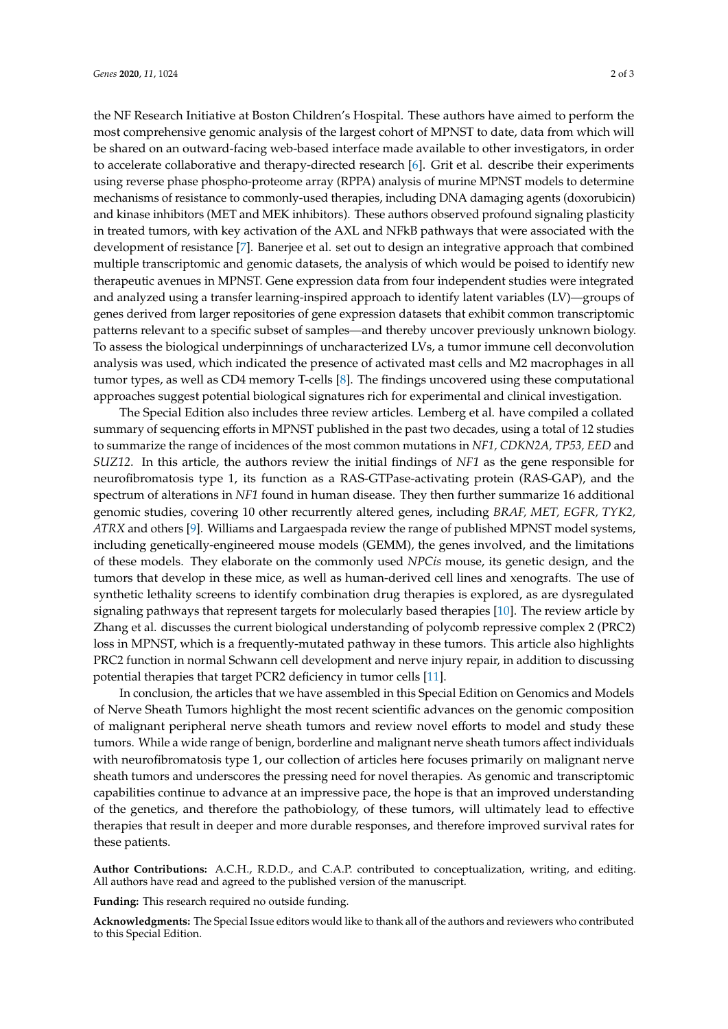the NF Research Initiative at Boston Children's Hospital. These authors have aimed to perform the most comprehensive genomic analysis of the largest cohort of MPNST to date, data from which will be shared on an outward-facing web-based interface made available to other investigators, in order to accelerate collaborative and therapy-directed research [\[6\]](#page-2-5). Grit et al. describe their experiments using reverse phase phospho-proteome array (RPPA) analysis of murine MPNST models to determine mechanisms of resistance to commonly-used therapies, including DNA damaging agents (doxorubicin) and kinase inhibitors (MET and MEK inhibitors). These authors observed profound signaling plasticity in treated tumors, with key activation of the AXL and NFkB pathways that were associated with the development of resistance [\[7\]](#page-2-6). Banerjee et al. set out to design an integrative approach that combined multiple transcriptomic and genomic datasets, the analysis of which would be poised to identify new therapeutic avenues in MPNST. Gene expression data from four independent studies were integrated and analyzed using a transfer learning-inspired approach to identify latent variables (LV)—groups of genes derived from larger repositories of gene expression datasets that exhibit common transcriptomic patterns relevant to a specific subset of samples—and thereby uncover previously unknown biology. To assess the biological underpinnings of uncharacterized LVs, a tumor immune cell deconvolution analysis was used, which indicated the presence of activated mast cells and M2 macrophages in all tumor types, as well as CD4 memory T-cells [\[8\]](#page-2-7). The findings uncovered using these computational approaches suggest potential biological signatures rich for experimental and clinical investigation.

The Special Edition also includes three review articles. Lemberg et al. have compiled a collated summary of sequencing efforts in MPNST published in the past two decades, using a total of 12 studies to summarize the range of incidences of the most common mutations in *NF1, CDKN2A, TP53, EED* and *SUZ12*. In this article, the authors review the initial findings of *NF1* as the gene responsible for neurofibromatosis type 1, its function as a RAS-GTPase-activating protein (RAS-GAP), and the spectrum of alterations in *NF1* found in human disease. They then further summarize 16 additional genomic studies, covering 10 other recurrently altered genes, including *BRAF, MET, EGFR, TYK2, ATRX* and others [\[9\]](#page-2-8). Williams and Largaespada review the range of published MPNST model systems, including genetically-engineered mouse models (GEMM), the genes involved, and the limitations of these models. They elaborate on the commonly used *NPCis* mouse, its genetic design, and the tumors that develop in these mice, as well as human-derived cell lines and xenografts. The use of synthetic lethality screens to identify combination drug therapies is explored, as are dysregulated signaling pathways that represent targets for molecularly based therapies [\[10\]](#page-2-9). The review article by Zhang et al. discusses the current biological understanding of polycomb repressive complex 2 (PRC2) loss in MPNST, which is a frequently-mutated pathway in these tumors. This article also highlights PRC2 function in normal Schwann cell development and nerve injury repair, in addition to discussing potential therapies that target PCR2 deficiency in tumor cells [\[11\]](#page-2-10).

In conclusion, the articles that we have assembled in this Special Edition on Genomics and Models of Nerve Sheath Tumors highlight the most recent scientific advances on the genomic composition of malignant peripheral nerve sheath tumors and review novel efforts to model and study these tumors. While a wide range of benign, borderline and malignant nerve sheath tumors affect individuals with neurofibromatosis type 1, our collection of articles here focuses primarily on malignant nerve sheath tumors and underscores the pressing need for novel therapies. As genomic and transcriptomic capabilities continue to advance at an impressive pace, the hope is that an improved understanding of the genetics, and therefore the pathobiology, of these tumors, will ultimately lead to effective therapies that result in deeper and more durable responses, and therefore improved survival rates for these patients.

**Author Contributions:** A.C.H., R.D.D., and C.A.P. contributed to conceptualization, writing, and editing. All authors have read and agreed to the published version of the manuscript.

**Funding:** This research required no outside funding.

**Acknowledgments:** The Special Issue editors would like to thank all of the authors and reviewers who contributed to this Special Edition.